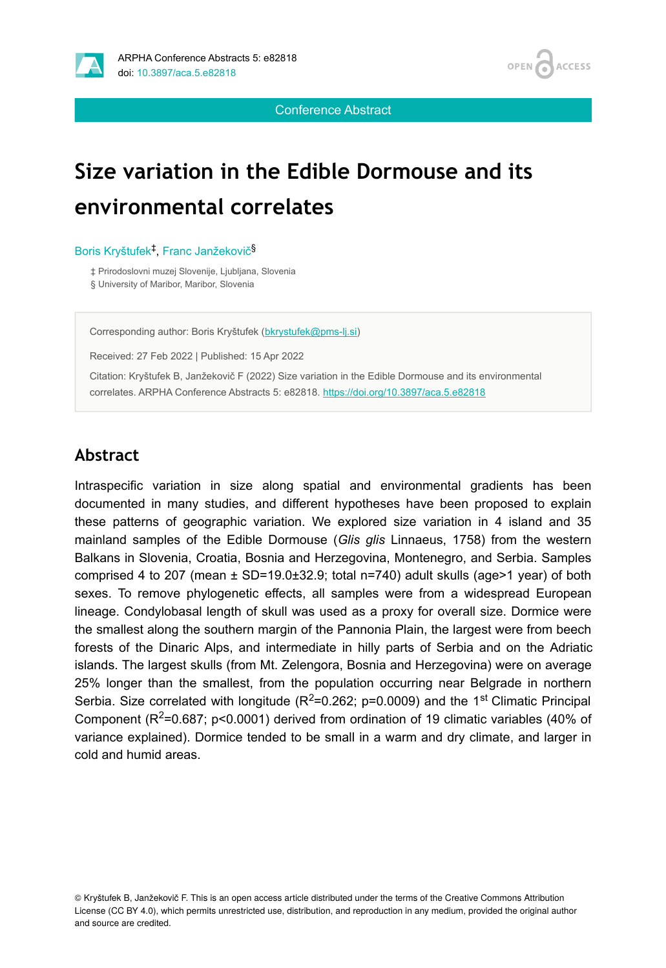



Conference Abstract

# **Size variation in the Edible Dormouse and its environmental correlates**

#### Boris Kryštufek<sup>‡</sup>, Franc Janžekovič<sup>§</sup>

‡ Prirodoslovni muzej Slovenije, Ljubljana, Slovenia § University of Maribor, Maribor, Slovenia

Corresponding author: Boris Kryštufek ([bkrystufek@pms-lj.si\)](mailto:bkrystufek@pms-lj.si)

Received: 27 Feb 2022 | Published: 15 Apr 2022

Citation: Kryštufek B, Janžekovič F (2022) Size variation in the Edible Dormouse and its environmental correlates. ARPHA Conference Abstracts 5: e82818. <https://doi.org/10.3897/aca.5.e82818>

#### **Abstract**

Intraspecific variation in size along spatial and environmental gradients has been documented in many studies, and different hypotheses have been proposed to explain these patterns of geographic variation. We explored size variation in 4 island and 35 mainland samples of the Edible Dormouse (*Glis glis* Linnaeus, 1758) from the western Balkans in Slovenia, Croatia, Bosnia and Herzegovina, Montenegro, and Serbia. Samples comprised 4 to 207 (mean  $\pm$  SD=19.0 $\pm$ 32.9; total n=740) adult skulls (age>1 year) of both sexes. To remove phylogenetic effects, all samples were from a widespread European lineage. Condylobasal length of skull was used as a proxy for overall size. Dormice were the smallest along the southern margin of the Pannonia Plain, the largest were from beech forests of the Dinaric Alps, and intermediate in hilly parts of Serbia and on the Adriatic islands. The largest skulls (from Mt. Zelengora, Bosnia and Herzegovina) were on average 25% longer than the smallest, from the population occurring near Belgrade in northern Serbia. Size correlated with longitude ( $R^2$ =0.262; p=0.0009) and the 1<sup>st</sup> Climatic Principal Component ( $R^2$ =0.687; p<0.0001) derived from ordination of 19 climatic variables (40% of variance explained). Dormice tended to be small in a warm and dry climate, and larger in cold and humid areas.